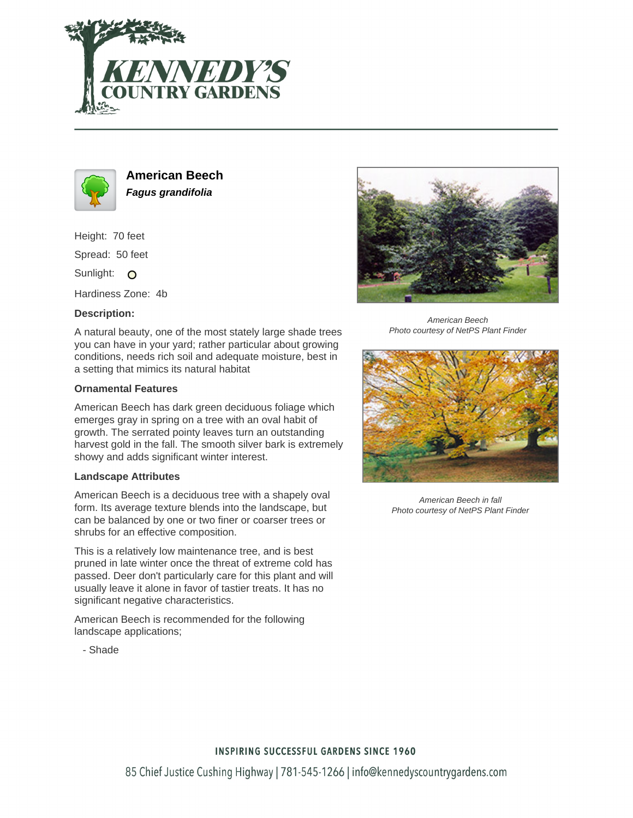



**American Beech Fagus grandifolia**

Height: 70 feet

Spread: 50 feet

Sunlight: O

Hardiness Zone: 4b

## **Description:**

A natural beauty, one of the most stately large shade trees you can have in your yard; rather particular about growing conditions, needs rich soil and adequate moisture, best in a setting that mimics its natural habitat

## **Ornamental Features**

American Beech has dark green deciduous foliage which emerges gray in spring on a tree with an oval habit of growth. The serrated pointy leaves turn an outstanding harvest gold in the fall. The smooth silver bark is extremely showy and adds significant winter interest.

## **Landscape Attributes**

- Shade

American Beech is a deciduous tree with a shapely oval form. Its average texture blends into the landscape, but can be balanced by one or two finer or coarser trees or shrubs for an effective composition.

This is a relatively low maintenance tree, and is best pruned in late winter once the threat of extreme cold has passed. Deer don't particularly care for this plant and will usually leave it alone in favor of tastier treats. It has no significant negative characteristics.

American Beech is recommended for the following landscape applications;



American Beech Photo courtesy of NetPS Plant Finder



American Beech in fall Photo courtesy of NetPS Plant Finder

**INSPIRING SUCCESSFUL GARDENS SINCE 1960**